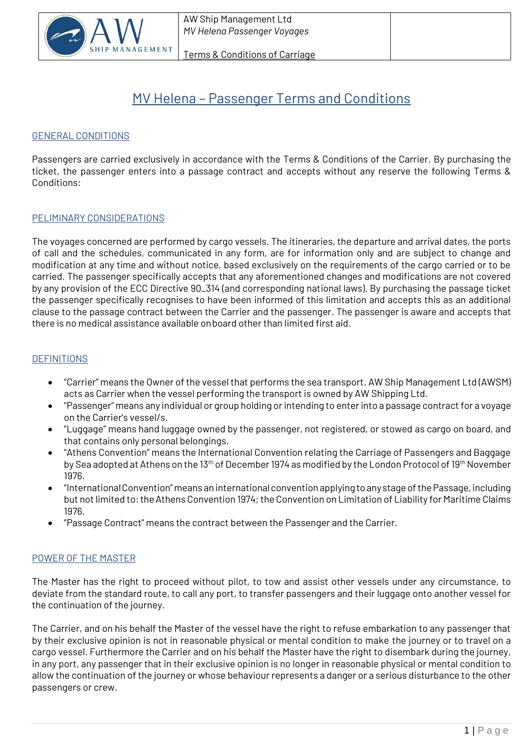

# MV Helena – Passenger Terms and Conditions

## GENERAL CONDITIONS

Passengers are carried exclusively in accordance with the Terms & Conditions of the Carrier. By purchasing the ticket, the passenger enters into a passage contract and accepts without any reserve the following Terms & Conditions:

## PELIMINARY CONSIDERATIONS

The voyages concerned are performed by cargo vessels. The itineraries, the departure and arrival dates, the ports of call and the schedules, communicated in any form, are for information only and are subject to change and modification at any time and without notice, based exclusively on the requirements of the cargo carried or to be carried. The passenger specifically accepts that any aforementioned changes and modifications are not covered by any provision of the ECC Directive 90\_314 (and corresponding national laws). By purchasing the passage ticket the passenger specifically recognises to have been informed of this limitation and accepts this as an additional clause to the passage contract between the Carrier and the passenger. The passenger is aware and accepts that there is no medical assistance available onboard other than limited first aid.

## **DEFINITIONS**

- "Carrier" means the Owner of the vessel that performs the sea transport. AW Ship Management Ltd (AWSM) acts as Carrier when the vessel performing the transport is owned by AW Shipping Ltd.
- "Passenger" means any individual or group holding or intending to enter into a passage contract for a voyage on the Carrier's vessel/s.
- "Luggage" means hand luggage owned by the passenger, not registered, or stowed as cargo on board, and that contains only personal belongings.
- "Athens Convention" means the International Convention relating the Carriage of Passengers and Baggage by Sea adopted at Athens on the 13<sup>th</sup> of December 1974 as modified by the London Protocol of 19<sup>th</sup> November 1976.
- "InternationalConvention"means an internationalconvention applyingtoanystageofthePassage,including but not limited to: the Athens Convention 1974; the Convention on Limitation of Liability for Maritime Claims 1976.
- "Passage Contract" means the contract between the Passenger and the Carrier.

# POWER OF THE MASTER

The Master has the right to proceed without pilot, to tow and assist other vessels under any circumstance, to deviate from the standard route, to call any port, to transfer passengers and their luggage onto another vessel for the continuation of the journey.

The Carrier, and on his behalf the Master of the vessel have the right to refuse embarkation to any passenger that by their exclusive opinion is not in reasonable physical or mental condition to make the journey or to travel on a cargo vessel. Furthermore the Carrier and on his behalf the Master have the right to disembark during the journey, in any port, any passenger that in their exclusive opinion is no longer in reasonable physical or mental condition to allow the continuation of the journey or whose behaviour represents a danger or a serious disturbance to the other passengers or crew.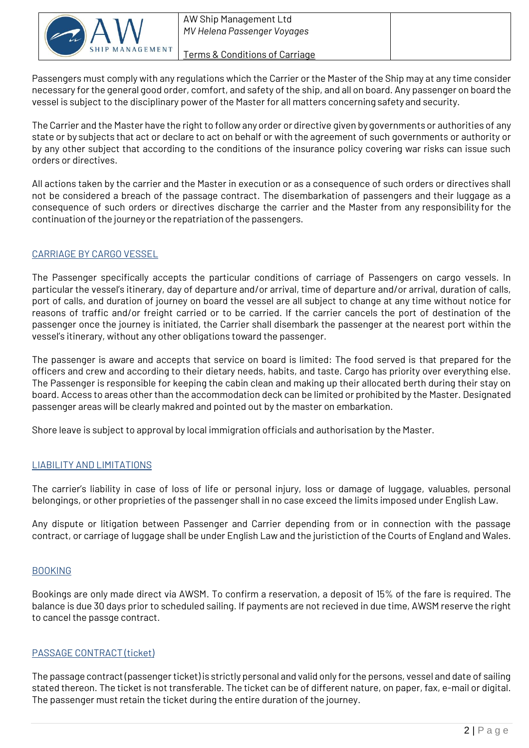

Terms & Conditions of Carriage

Passengers must comply with any regulations which the Carrier or the Master of the Ship may at any time consider necessary for the general good order, comfort, and safety of the ship, and all on board. Any passenger on board the vessel is subject to the disciplinary power of the Master for all matters concerning safety and security.

The Carrier and the Master have the right to follow any order or directive given by governments or authorities of any state or by subjects that act or declare to act on behalf or with the agreement of such governments or authority or by any other subject that according to the conditions of the insurance policy covering war risks can issue such orders or directives.

All actions taken by the carrier and the Master in execution or as a consequence of such orders or directives shall not be considered a breach of the passage contract. The disembarkation of passengers and their luggage as a consequence of such orders or directives discharge the carrier and the Master from any responsibility for the continuation of the journeyor the repatriation of the passengers.

# CARRIAGE BY CARGO VESSEL

The Passenger specifically accepts the particular conditions of carriage of Passengers on cargo vessels. In particular the vessel's itinerary, day of departure and/or arrival, time of departure and/or arrival, duration of calls, port of calls, and duration of journey on board the vessel are all subject to change at any time without notice for reasons of traffic and/or freight carried or to be carried. If the carrier cancels the port of destination of the passenger once the journey is initiated, the Carrier shall disembark the passenger at the nearest port within the vessel's itinerary, without any other obligations toward the passenger.

The passenger is aware and accepts that service on board is limited: The food served is that prepared for the officers and crew and according to their dietary needs, habits, and taste. Cargo has priority over everything else. The Passenger is responsible for keeping the cabin clean and making up their allocated berth during their stay on board. Access to areas other than the accommodation deck can be limited or prohibited by the Master. Designated passenger areas will be clearly makred and pointed out by the master on embarkation.

Shore leave is subject to approval by local immigration officials and authorisation by the Master.

# LIABILITY AND LIMITATIONS

The carrier's liability in case of loss of life or personal injury, loss or damage of luggage, valuables, personal belongings, or other proprieties of the passenger shall in no case exceed the limits imposed under English Law.

Any dispute or litigation between Passenger and Carrier depending from or in connection with the passage contract, or carriage of luggage shall be under English Law and the juristiction of the Courts of England and Wales.

# BOOKING

Bookings are only made direct via AWSM. To confirm a reservation, a deposit of 15% of the fare is required. The balance is due 30 days prior to scheduled sailing. If payments are not recieved in due time, AWSM reserve the right to cancel the passge contract.

# PASSAGE CONTRACT (ticket)

The passage contract (passenger ticket) is strictly personal and valid only for the persons, vessel and date of sailing stated thereon. The ticket is not transferable. The ticket can be of different nature, on paper, fax, e-mail or digital. The passenger must retain the ticket during the entire duration of the journey.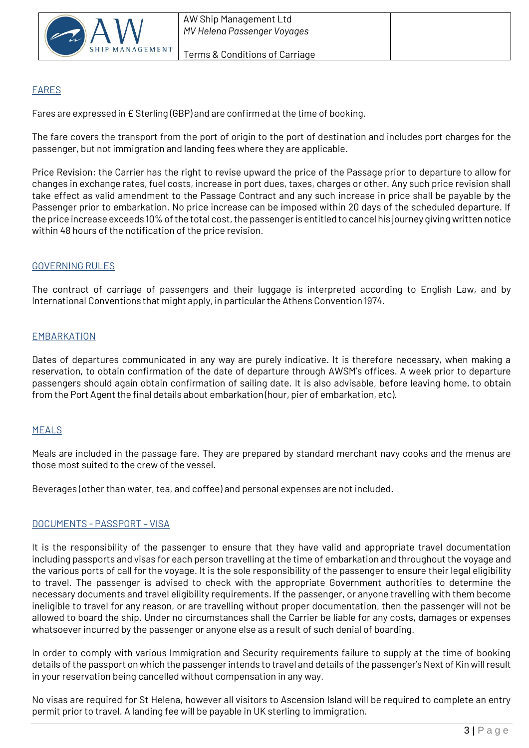

# FARES

Fares are expressed in £ Sterling (GBP) and are confirmed at the time of booking.

The fare covers the transport from the port of origin to the port of destination and includes port charges for the passenger, but not immigration and landing fees where they are applicable.

Price Revision: the Carrier has the right to revise upward the price of the Passage prior to departure to allow for changes in exchange rates, fuel costs, increase in port dues, taxes, charges or other. Any such price revision shall take effect as valid amendment to the Passage Contract and any such increase in price shall be payable by the Passenger prior to embarkation. No price increase can be imposed within 20 days of the scheduled departure. If the price increase exceeds 10% of the total cost, the passenger is entitled to cancel his journey giving written notice within 48 hours of the notification of the price revision.

# GOVERNING RULES

The contract of carriage of passengers and their luggage is interpreted according to English Law, and by International Conventions that might apply, in particularthe Athens Convention 1974.

# EMBARKATION

Dates of departures communicated in any way are purely indicative. It is therefore necessary, when making a reservation, to obtain confirmation of the date of departure through AWSM's offices. A week prior to departure passengers should again obtain confirmation of sailing date. It is also advisable, before leaving home, to obtain from the Port Agent the final details about embarkation (hour, pier of embarkation, etc).

# MEALS

Meals are included in the passage fare. They are prepared by standard merchant navy cooks and the menus are those most suited to the crew of the vessel.

Beverages (other than water, tea, and coffee) and personal expenses are not included.

# DOCUMENTS - PASSPORT – VISA

It is the responsibility of the passenger to ensure that they have valid and appropriate travel documentation including passports and visas for each person travelling at the time of embarkation and throughout the voyage and the various ports of call for the voyage. It is the sole responsibility of the passenger to ensure their legal eligibility to travel. The passenger is advised to check with the appropriate Government authorities to determine the necessary documents and travel eligibility requirements. If the passenger, or anyone travelling with them become ineligible to travel for any reason, or are travelling without proper documentation, then the passenger will not be allowed to board the ship. Under no circumstances shall the Carrier be liable for any costs, damages or expenses whatsoever incurred by the passenger or anyone else as a result of such denial of boarding.

In order to comply with various Immigration and Security requirements failure to supply at the time of booking details of the passport on which the passenger intends to travel and details of the passenger's Next of Kin will result in your reservation being cancelled without compensation in any way.

No visas are required for St Helena, however all visitors to Ascension Island will be required to complete an entry permit prior to travel. A landing fee will be payable in UK sterling to immigration.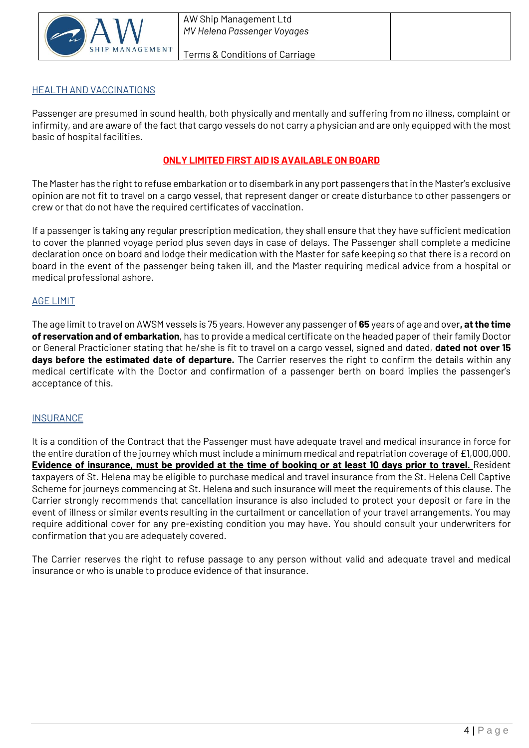

#### Terms & Conditions of Carriage

# HEALTH AND VACCINATIONS

Passenger are presumed in sound health, both physically and mentally and suffering from no illness, complaint or infirmity, and are aware of the fact that cargo vessels do not carry a physician and are only equipped with the most basic of hospital facilities.

# **ONLY LIMITED FIRST AID IS AVAILABLE ON BOARD**

The Master has the right to refuse embarkation or to disembark in any port passengers that in the Master's exclusive opinion are not fit to travel on a cargo vessel, that represent danger or create disturbance to other passengers or crew or that do not have the required certificates of vaccination.

If a passenger is taking any regular prescription medication, they shall ensure that they have sufficient medication to cover the planned voyage period plus seven days in case of delays. The Passenger shall complete a medicine declaration once on board and lodge their medication with the Master for safe keeping so that there is a record on board in the event of the passenger being taken ill, and the Master requiring medical advice from a hospital or medical professional ashore.

# AGE LIMIT

The age limit to travel on AWSM vessels is 75 years. However any passenger of **65** years of age and over**, at the time of reservation and of embarkation**, has to provide a medical certificate on the headed paper of their family Doctor or General Practicioner stating that he/she is fit to travel on a cargo vessel, signed and dated, **dated not over 15 days before the estimated date of departure.** The Carrier reserves the right to confirm the details within any medical certificate with the Doctor and confirmation of a passenger berth on board implies the passenger's acceptance of this.

#### **INSURANCE**

It is a condition of the Contract that the Passenger must have adequate travel and medical insurance in force for the entire duration of the journey which must include a minimum medical and repatriation coverage of £1,000,000. **Evidence of insurance, must be provided at the time of booking or at least 10 days prior to travel.** Resident taxpayers of St. Helena may be eligible to purchase medical and travel insurance from the St. Helena Cell Captive Scheme for journeys commencing at St. Helena and such insurance will meet the requirements of this clause. The Carrier strongly recommends that cancellation insurance is also included to protect your deposit or fare in the event of illness or similar events resulting in the curtailment or cancellation of your travel arrangements. You may require additional cover for any pre-existing condition you may have. You should consult your underwriters for confirmation that you are adequately covered.

The Carrier reserves the right to refuse passage to any person without valid and adequate travel and medical insurance or who is unable to produce evidence of that insurance.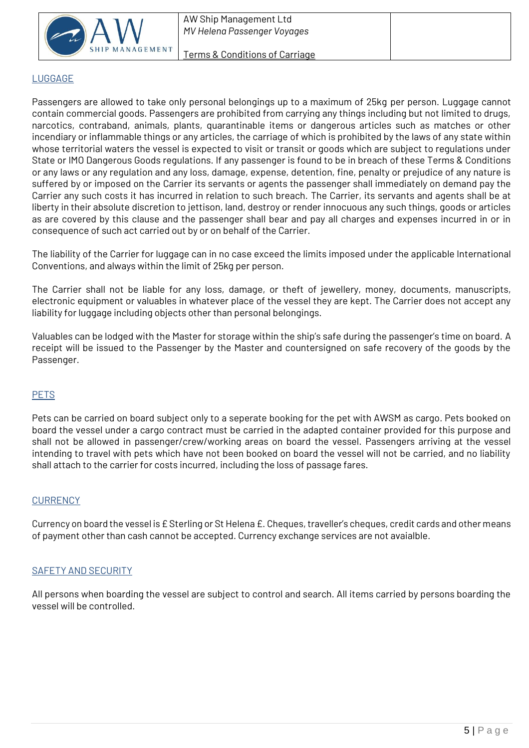

# LUGGAGE

Passengers are allowed to take only personal belongings up to a maximum of 25kg per person. Luggage cannot contain commercial goods. Passengers are prohibited from carrying any things including but not limited to drugs, narcotics, contraband, animals, plants, quarantinable items or dangerous articles such as matches or other incendiary or inflammable things or any articles, the carriage of which is prohibited by the laws of any state within whose territorial waters the vessel is expected to visit or transit or goods which are subject to regulations under State or IMO Dangerous Goods regulations. If any passenger is found to be in breach of these Terms & Conditions or any laws or any regulation and any loss, damage, expense, detention, fine, penalty or prejudice of any nature is suffered by or imposed on the Carrier its servants or agents the passenger shall immediately on demand pay the Carrier any such costs it has incurred in relation to such breach. The Carrier, its servants and agents shall be at liberty in their absolute discretion to jettison, land, destroy or render innocuous any such things, goods or articles as are covered by this clause and the passenger shall bear and pay all charges and expenses incurred in or in consequence of such act carried out by or on behalf of the Carrier.

The liability of the Carrier for luggage can in no case exceed the limits imposed under the applicable International Conventions, and always within the limit of 25kg per person.

The Carrier shall not be liable for any loss, damage, or theft of jewellery, money, documents, manuscripts, electronic equipment or valuables in whatever place of the vessel they are kept. The Carrier does not accept any liability for luggage including objects other than personal belongings.

Valuables can be lodged with the Master for storage within the ship's safe during the passenger's time on board. A receipt will be issued to the Passenger by the Master and countersigned on safe recovery of the goods by the Passenger.

# PETS

Pets can be carried on board subject only to a seperate booking for the pet with AWSM as cargo. Pets booked on board the vessel under a cargo contract must be carried in the adapted container provided for this purpose and shall not be allowed in passenger/crew/working areas on board the vessel. Passengers arriving at the vessel intending to travel with pets which have not been booked on board the vessel will not be carried, and no liability shall attach to the carrier for costs incurred, including the loss of passage fares.

#### **CURRENCY**

Currency on board the vessel is  $E$  Sterling or St Helena  $E$ . Cheques, traveller's cheques, credit cards and other means of payment other than cash cannot be accepted. Currency exchange services are not avaialble.

#### SAFETY AND SECURITY

All persons when boarding the vessel are subject to control and search. All items carried by persons boarding the vessel will be controlled.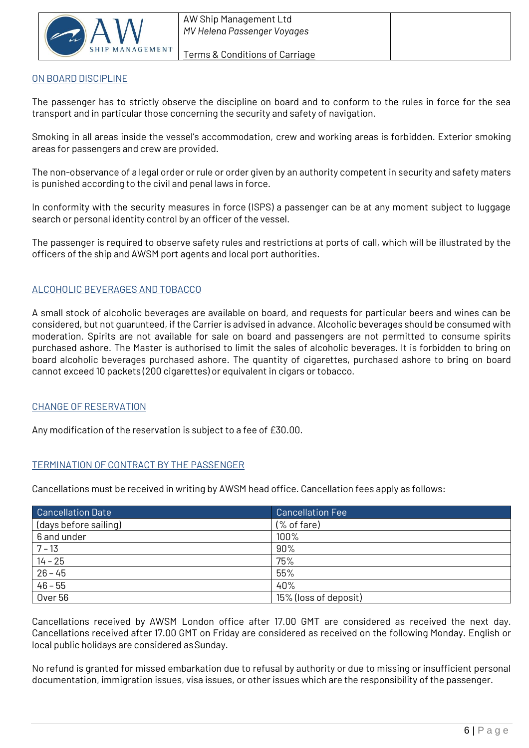

#### Terms & Conditions of Carriage

# ON BOARD DISCIPLINE

The passenger has to strictly observe the discipline on board and to conform to the rules in force for the sea transport and in particular those concerning the security and safety of navigation.

Smoking in all areas inside the vessel's accommodation, crew and working areas is forbidden. Exterior smoking areas for passengers and crew are provided.

The non-observance of a legal order or rule or order given by an authority competent in security and safety maters is punished according to the civil and penal laws in force.

In conformity with the security measures in force (ISPS) a passenger can be at any moment subject to luggage search or personal identity control by an officer of the vessel.

The passenger is required to observe safety rules and restrictions at ports of call, which will be illustrated by the officers of the ship and AWSM port agents and local port authorities.

# ALCOHOLIC BEVERAGES AND TOBACCO

A small stock of alcoholic beverages are available on board, and requests for particular beers and wines can be considered, but not guarunteed, if the Carrier is advised in advance. Alcoholic beverages should be consumed with moderation. Spirits are not available for sale on board and passengers are not permitted to consume spirits purchased ashore. The Master is authorised to limit the sales of alcoholic beverages. It is forbidden to bring on board alcoholic beverages purchased ashore. The quantity of cigarettes, purchased ashore to bring on board cannot exceed 10 packets (200 cigarettes) or equivalent in cigars or tobacco.

# CHANGE OF RESERVATION

Any modification of the reservation is subject to a fee of £30.00.

# TERMINATION OF CONTRACT BY THE PASSENGER

Cancellations must be received in writing by AWSM head office. Cancellation fees apply as follows:

| <b>Cancellation Date</b> | <b>Cancellation Fee</b>                                      |
|--------------------------|--------------------------------------------------------------|
| (days before sailing)    | $(% \mathcal{L}^{\prime }\mathcal{L}^{\prime })$ (% of fare) |
| 6 and under              | 100%                                                         |
| $7 - 13$                 | 90%                                                          |
| $14 - 25$                | 75%                                                          |
| $26 - 45$                | 55%                                                          |
| $46 - 55$                | 40%                                                          |
| Over <sub>56</sub>       | 15% (loss of deposit)                                        |

Cancellations received by AWSM London office after 17.00 GMT are considered as received the next day. Cancellations received after 17.00 GMT on Friday are considered as received on the following Monday. English or local public holidays are considered asSunday.

No refund is granted for missed embarkation due to refusal by authority or due to missing or insufficient personal documentation, immigration issues, visa issues, or other issues which are the responsibility of the passenger.